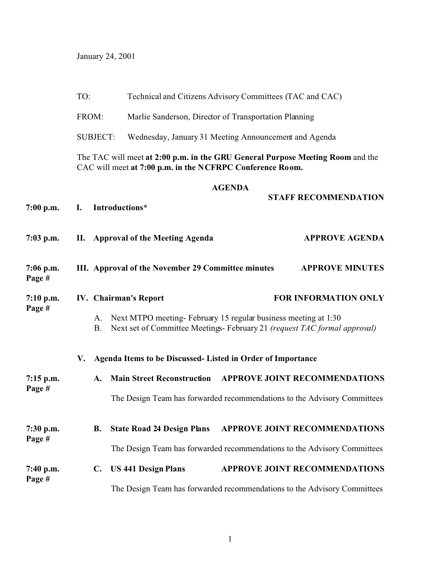January 24, 2001

|                       | TO:<br>FROM:    |                                                                                                                                             | Technical and Citizens Advisory Committees (TAC and CAC)                                                                                   |                                                       |                                      |  |  |  |  |  |
|-----------------------|-----------------|---------------------------------------------------------------------------------------------------------------------------------------------|--------------------------------------------------------------------------------------------------------------------------------------------|-------------------------------------------------------|--------------------------------------|--|--|--|--|--|
|                       |                 |                                                                                                                                             |                                                                                                                                            | Marlie Sanderson, Director of Transportation Planning |                                      |  |  |  |  |  |
|                       | <b>SUBJECT:</b> |                                                                                                                                             |                                                                                                                                            | Wednesday, January 31 Meeting Announcement and Agenda |                                      |  |  |  |  |  |
|                       |                 | The TAC will meet at 2:00 p.m. in the GRU General Purpose Meeting Room and the<br>CAC will meet at 7:00 p.m. in the NCFRPC Conference Room. |                                                                                                                                            |                                                       |                                      |  |  |  |  |  |
| $7:00$ p.m.           | I.              |                                                                                                                                             | Introductions*                                                                                                                             | <b>AGENDA</b>                                         | <b>STAFF RECOMMENDATION</b>          |  |  |  |  |  |
| $7:03$ p.m.           |                 |                                                                                                                                             | II. Approval of the Meeting Agenda                                                                                                         |                                                       | <b>APPROVE AGENDA</b>                |  |  |  |  |  |
| $7:06$ p.m.<br>Page # |                 | III. Approval of the November 29 Committee minutes<br><b>APPROVE MINUTES</b>                                                                |                                                                                                                                            |                                                       |                                      |  |  |  |  |  |
| $7:10$ p.m.<br>Page # |                 |                                                                                                                                             | <b>IV.</b> Chairman's Report                                                                                                               |                                                       | <b>FOR INFORMATION ONLY</b>          |  |  |  |  |  |
|                       |                 | A.<br><b>B.</b>                                                                                                                             | Next MTPO meeting-February 15 regular business meeting at 1:30<br>Next set of Committee Meetings-February 21 (request TAC formal approval) |                                                       |                                      |  |  |  |  |  |
|                       | V.              |                                                                                                                                             | Agenda Items to be Discussed- Listed in Order of Importance                                                                                |                                                       |                                      |  |  |  |  |  |
| $7:15$ p.m.<br>Page # |                 | A.                                                                                                                                          | <b>Main Street Reconstruction</b>                                                                                                          |                                                       | <b>APPROVE JOINT RECOMMENDATIONS</b> |  |  |  |  |  |
|                       |                 |                                                                                                                                             | The Design Team has forwarded recommendations to the Advisory Committees                                                                   |                                                       |                                      |  |  |  |  |  |
| $7:30$ p.m.<br>Page # |                 | В.                                                                                                                                          | <b>State Road 24 Design Plans</b>                                                                                                          |                                                       | <b>APPROVE JOINT RECOMMENDATIONS</b> |  |  |  |  |  |
|                       |                 |                                                                                                                                             | The Design Team has forwarded recommendations to the Advisory Committees                                                                   |                                                       |                                      |  |  |  |  |  |
| $7:40$ p.m.           |                 | $\mathbf{C}$ .                                                                                                                              | <b>US 441 Design Plans</b>                                                                                                                 |                                                       | <b>APPROVE JOINT RECOMMENDATIONS</b> |  |  |  |  |  |
| Page #                |                 |                                                                                                                                             | The Design Team has forwarded recommendations to the Advisory Committees                                                                   |                                                       |                                      |  |  |  |  |  |